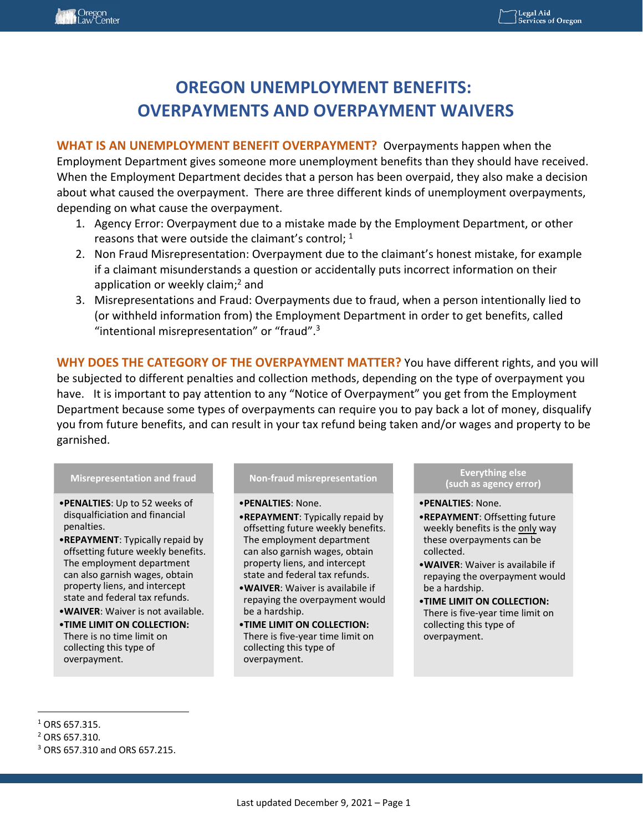# **OREGON UNEMPLOYMENT BENEFITS: OVERPAYMENTS AND OVERPAYMENT WAIVERS**

**WHAT IS AN UNEMPLOYMENT BENEFIT OVERPAYMENT?** Overpayments happen when the Employment Department gives someone more unemployment benefits than they should have received. When the Employment Department decides that a person has been overpaid, they also make a decision about what caused the overpayment. There are three different kinds of unemployment overpayments, depending on what cause the overpayment.

- 1. Agency Error: Overpayment due to a mistake made by the Employment Department, or other reasons that were outside the claimant's control;  $1$
- 2. Non Fraud Misrepresentation: Overpayment due to the claimant's honest mistake, for example if a claimant misunderstands a question or accidentally puts incorrect information on their application or weekly claim;<sup>2</sup> and
- 3. Misrepresentations and Fraud: Overpayments due to fraud, when a person intentionally lied to (or withheld information from) the Employment Department in order to get benefits, called "intentional misrepresentation" or "fraud".3

**WHY DOES THE CATEGORY OF THE OVERPAYMENT MATTER?** You have different rights, and you will be subjected to different penalties and collection methods, depending on the type of overpayment you have. It is important to pay attention to any "Notice of Overpayment" you get from the Employment Department because some types of overpayments can require you to pay back a lot of money, disqualify you from future benefits, and can result in your tax refund being taken and/or wages and property to be garnished. 

#### **Misrepresentation and fraud**

- •**PENALTIES**: Up to 52 weeks of disqualficiation and financial penalties.
- •**REPAYMENT**: Typically repaid by offsetting future weekly benefits. The employment department can also garnish wages, obtain property liens, and intercept state and federal tax refunds.
- •**WAIVER**: Waiver is not available.
- •**TIME LIMIT ON COLLECTION:**  There is no time limit on collecting this type of overpayment.

#### **Non‐fraud misrepresentation**

- •**PENALTIES**: None.
- •**REPAYMENT**: Typically repaid by offsetting future weekly benefits. The employment department can also garnish wages, obtain property liens, and intercept state and federal tax refunds.
- •**WAIVER**: Waiver is availabile if repaying the overpayment would be a hardship.
- •**TIME LIMIT ON COLLECTION:**  There is five‐year time limit on collecting this type of overpayment.

**Everything else (such as agency error)**

- •**PENALTIES**: None.
- •**REPAYMENT**: Offsetting future weekly benefits is the only way these overpayments can be collected.
- •**WAIVER**: Waiver is availabile if repaying the overpayment would be a hardship.
- •**TIME LIMIT ON COLLECTION:**  There is five‐year time limit on collecting this type of overpayment.

 $^1$  ORS 657.315.

 $2$  ORS 657.310.

<sup>3</sup> ORS 657.310 and ORS 657.215.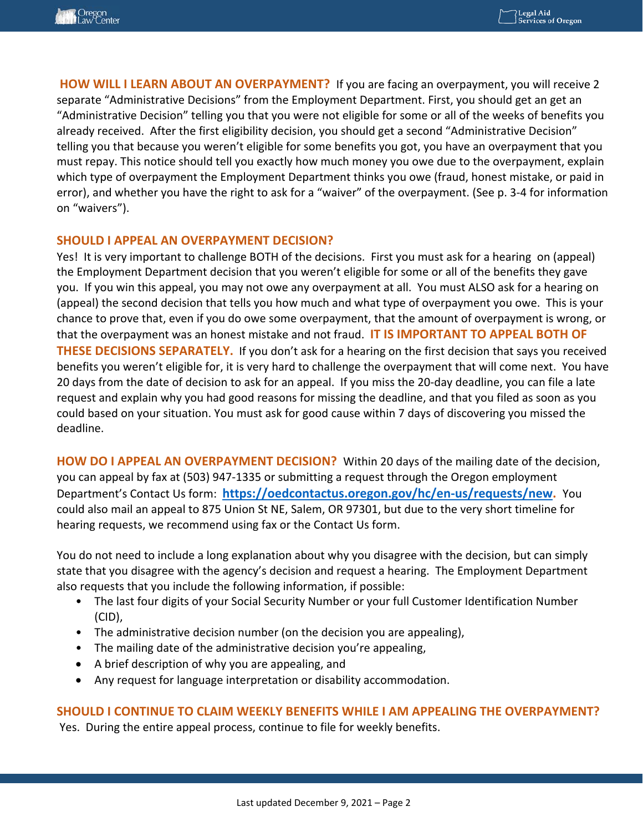**HOW WILL I LEARN ABOUT AN OVERPAYMENT?** If you are facing an overpayment, you will receive 2 separate "Administrative Decisions" from the Employment Department. First, you should get an get an "Administrative Decision" telling you that you were not eligible for some or all of the weeks of benefits you already received. After the first eligibility decision, you should get a second "Administrative Decision" telling you that because you weren't eligible for some benefits you got, you have an overpayment that you must repay. This notice should tell you exactly how much money you owe due to the overpayment, explain which type of overpayment the Employment Department thinks you owe (fraud, honest mistake, or paid in error), and whether you have the right to ask for a "waiver" of the overpayment. (See p. 3‐4 for information on "waivers").

## **SHOULD I APPEAL AN OVERPAYMENT DECISION?**

Yes! It is very important to challenge BOTH of the decisions. First you must ask for a hearing on (appeal) the Employment Department decision that you weren't eligible for some or all of the benefits they gave you. If you win this appeal, you may not owe any overpayment at all. You must ALSO ask for a hearing on (appeal) the second decision that tells you how much and what type of overpayment you owe. This is your chance to prove that, even if you do owe some overpayment, that the amount of overpayment is wrong, or that the overpayment was an honest mistake and not fraud. **IT IS IMPORTANT TO APPEAL BOTH OF THESE DECISIONS SEPARATELY.** If you don't ask for a hearing on the first decision that says you received benefits you weren't eligible for, it is very hard to challenge the overpayment that will come next. You have 20 days from the date of decision to ask for an appeal. If you miss the 20‐day deadline, you can file a late request and explain why you had good reasons for missing the deadline, and that you filed as soon as you could based on your situation. You must ask for good cause within 7 days of discovering you missed the deadline.

**HOW DO I APPEAL AN OVERPAYMENT DECISION?** Within 20 days of the mailing date of the decision, you can appeal by fax at (503) 947‐1335 or submitting a request through the Oregon employment Department's Contact Us form: **https://oedcontactus.oregon.gov/hc/en‐us/requests/new.** You could also mail an appeal to 875 Union St NE, Salem, OR 97301, but due to the very short timeline for hearing requests, we recommend using fax or the Contact Us form.

You do not need to include a long explanation about why you disagree with the decision, but can simply state that you disagree with the agency's decision and request a hearing. The Employment Department also requests that you include the following information, if possible:

- The last four digits of your Social Security Number or your full Customer Identification Number (CID),
- The administrative decision number (on the decision you are appealing),
- The mailing date of the administrative decision you're appealing,
- A brief description of why you are appealing, and
- Any request for language interpretation or disability accommodation.

#### **SHOULD I CONTINUE TO CLAIM WEEKLY BENEFITS WHILE I AM APPEALING THE OVERPAYMENT?**

Yes. During the entire appeal process, continue to file for weekly benefits.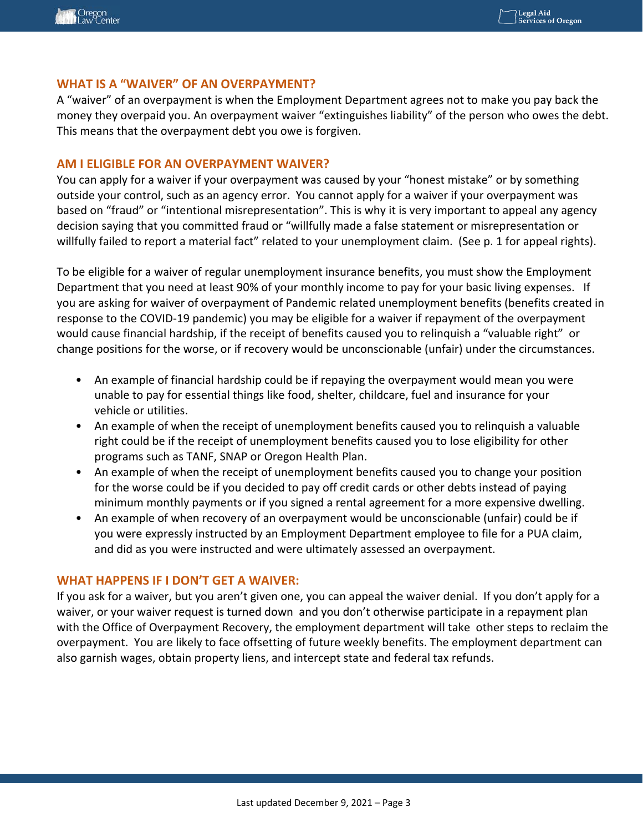# WHAT IS A "WAIVER" OF AN OVERPAYMENT?

A "waiver" of an overpayment is when the Employment Department agrees not to make you pay back the money they overpaid you. An overpayment waiver "extinguishes liability" of the person who owes the debt. This means that the overpayment debt you owe is forgiven.

## **AM I ELIGIBLE FOR AN OVERPAYMENT WAIVER?**

You can apply for a waiver if your overpayment was caused by your "honest mistake" or by something outside your control, such as an agency error. You cannot apply for a waiver if your overpayment was based on "fraud" or "intentional misrepresentation". This is why it is very important to appeal any agency decision saying that you committed fraud or "willfully made a false statement or misrepresentation or willfully failed to report a material fact" related to your unemployment claim. (See p. 1 for appeal rights).

To be eligible for a waiver of regular unemployment insurance benefits, you must show the Employment Department that you need at least 90% of your monthly income to pay for your basic living expenses. If you are asking for waiver of overpayment of Pandemic related unemployment benefits (benefits created in response to the COVID‐19 pandemic) you may be eligible for a waiver if repayment of the overpayment would cause financial hardship, if the receipt of benefits caused you to relinquish a "valuable right" or change positions for the worse, or if recovery would be unconscionable (unfair) under the circumstances.

- An example of financial hardship could be if repaying the overpayment would mean you were unable to pay for essential things like food, shelter, childcare, fuel and insurance for your vehicle or utilities.
- An example of when the receipt of unemployment benefits caused you to relinquish a valuable right could be if the receipt of unemployment benefits caused you to lose eligibility for other programs such as TANF, SNAP or Oregon Health Plan.
- An example of when the receipt of unemployment benefits caused you to change your position for the worse could be if you decided to pay off credit cards or other debts instead of paying minimum monthly payments or if you signed a rental agreement for a more expensive dwelling.
- An example of when recovery of an overpayment would be unconscionable (unfair) could be if you were expressly instructed by an Employment Department employee to file for a PUA claim, and did as you were instructed and were ultimately assessed an overpayment.

#### **WHAT HAPPENS IF I DON'T GET A WAIVER:**

If you ask for a waiver, but you aren't given one, you can appeal the waiver denial. If you don't apply for a waiver, or your waiver request is turned down and you don't otherwise participate in a repayment plan with the Office of Overpayment Recovery, the employment department will take other steps to reclaim the overpayment. You are likely to face offsetting of future weekly benefits. The employment department can also garnish wages, obtain property liens, and intercept state and federal tax refunds.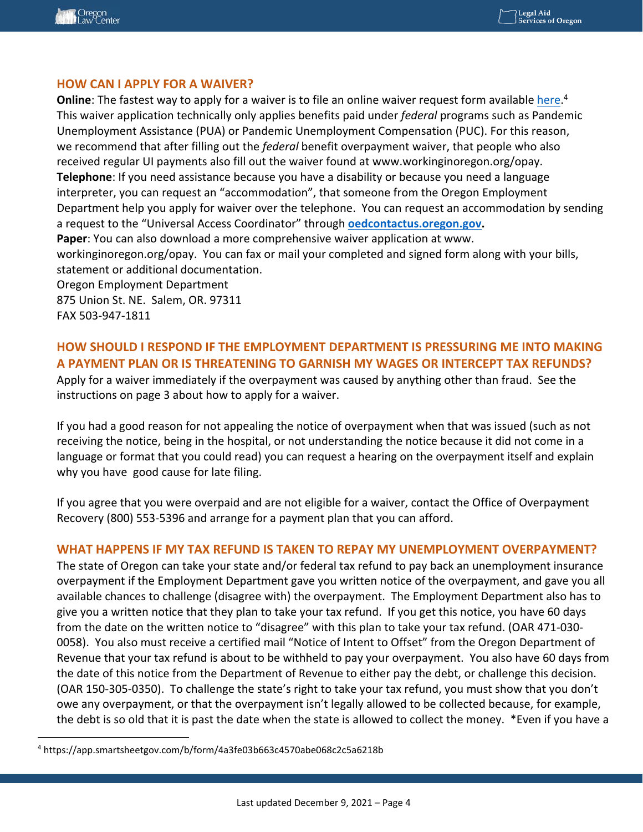## **HOW CAN I APPLY FOR A WAIVER?**

**Online**: The fastest way to apply for a waiver is to file an online waiver request form available here.<sup>4</sup> This waiver application technically only applies benefits paid under *federal* programs such as Pandemic Unemployment Assistance (PUA) or Pandemic Unemployment Compensation (PUC). For this reason, we recommend that after filling out the *federal* benefit overpayment waiver, that people who also received regular UI payments also fill out the waiver found at www.workinginoregon.org/opay. **Telephone**: If you need assistance because you have a disability or because you need a language interpreter, you can request an "accommodation", that someone from the Oregon Employment Department help you apply for waiver over the telephone. You can request an accommodation by sending a request to the "Universal Access Coordinator" through **oedcontactus.oregon.gov. Paper**: You can also download a more comprehensive waiver application at www. workinginoregon.org/opay. You can fax or mail your completed and signed form along with your bills, statement or additional documentation. Oregon Employment Department 875 Union St. NE. Salem, OR. 97311 FAX 503‐947‐1811

# **HOW SHOULD I RESPOND IF THE EMPLOYMENT DEPARTMENT IS PRESSURING ME INTO MAKING A PAYMENT PLAN OR IS THREATENING TO GARNISH MY WAGES OR INTERCEPT TAX REFUNDS?**

Apply for a waiver immediately if the overpayment was caused by anything other than fraud. See the instructions on page 3 about how to apply for a waiver.

If you had a good reason for not appealing the notice of overpayment when that was issued (such as not receiving the notice, being in the hospital, or not understanding the notice because it did not come in a language or format that you could read) you can request a hearing on the overpayment itself and explain why you have good cause for late filing.

If you agree that you were overpaid and are not eligible for a waiver, contact the Office of Overpayment Recovery (800) 553‐5396 and arrange for a payment plan that you can afford.

#### **WHAT HAPPENS IF MY TAX REFUND IS TAKEN TO REPAY MY UNEMPLOYMENT OVERPAYMENT?**

The state of Oregon can take your state and/or federal tax refund to pay back an unemployment insurance overpayment if the Employment Department gave you written notice of the overpayment, and gave you all available chances to challenge (disagree with) the overpayment. The Employment Department also has to give you a written notice that they plan to take your tax refund. If you get this notice, you have 60 days from the date on the written notice to "disagree" with this plan to take your tax refund. (OAR 471‐030‐ 0058). You also must receive a certified mail "Notice of Intent to Offset" from the Oregon Department of Revenue that your tax refund is about to be withheld to pay your overpayment. You also have 60 days from the date of this notice from the Department of Revenue to either pay the debt, or challenge this decision. (OAR 150‐305‐0350). To challenge the state's right to take your tax refund, you must show that you don't owe any overpayment, or that the overpayment isn't legally allowed to be collected because, for example, the debt is so old that it is past the date when the state is allowed to collect the money. \*Even if you have a

<sup>4</sup> https://app.smartsheetgov.com/b/form/4a3fe03b663c4570abe068c2c5a6218b